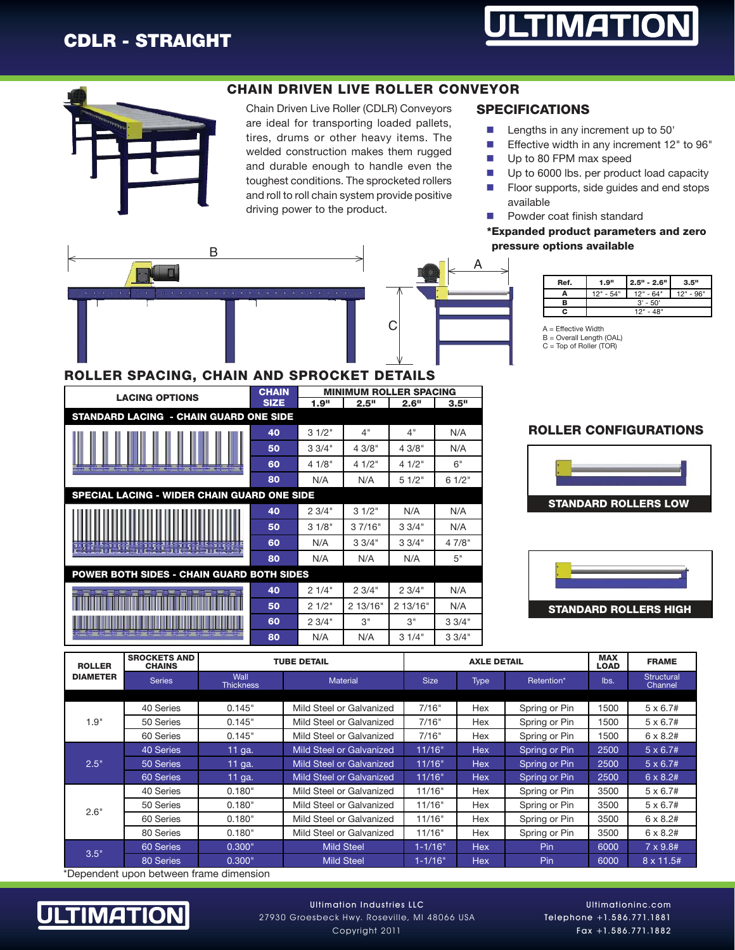



#### CHAIN DRIVEN LIVE ROLLER CONVEYOR

Chain Driven Live Roller (CDLR) Conveyors are ideal for transporting loaded pallets, tires, drums or other heavy items. The welded construction makes them rugged and durable enough to handle even the toughest conditions. The sprocketed rollers and roll to roll chain system provide positive driving power to the product.

#### SPECIFICATIONS

- $\blacksquare$  Lengths in any increment up to 50'
- **Effective width in any increment 12" to 96"**
- **n** Up to 80 FPM max speed
- **n** Up to 6000 lbs. per product load capacity
- **n** Floor supports, side guides and end stops available
- Powder coat finish standard

\*Expanded product parameters and zero pressure options available



#### ROLLER SPACING, CHAIN AND SPROCKET DETAILS

| <b>LACING OPTIONS</b>                                                                                                                                                                                                                | <b>CHAIN</b> | <b>MINIMUM ROLLER SPACING</b> |          |          |        |  |  |
|--------------------------------------------------------------------------------------------------------------------------------------------------------------------------------------------------------------------------------------|--------------|-------------------------------|----------|----------|--------|--|--|
|                                                                                                                                                                                                                                      | <b>SIZE</b>  | 1.9"                          | 2.5"     | 2.6"     | 3.5"   |  |  |
| <b>STANDARD LACING - CHAIN GUARD ONE SIDE</b>                                                                                                                                                                                        |              |                               |          |          |        |  |  |
|                                                                                                                                                                                                                                      | 40           | 31/2"                         | 4"       | 4"       | N/A    |  |  |
| <b>The Committee of the Committee of the Committee</b><br><b>The Contract of the Contract of the Contract of the Contract of the Contract of the Contract of the Contract o</b>                                                      | 50           | 33/4"                         | 4 3/8"   | 43/8"    | N/A    |  |  |
|                                                                                                                                                                                                                                      | 60           | 4 1/8"                        | 41/2"    | 41/2"    | 6"     |  |  |
|                                                                                                                                                                                                                                      | 80           | N/A                           | N/A      | 51/2"    | 61/2"  |  |  |
| SPECIAL LACING - WIDER CHAIN GUARD ONE SIDE                                                                                                                                                                                          |              |                               |          |          |        |  |  |
|                                                                                                                                                                                                                                      | 40           | 23/4"                         | 31/2"    | N/A      | N/A    |  |  |
| <b>The County of the County of Lines and Lines of the County of the County of the County of the County of the County of the County of the County of the County of the County of the County of the County of the County of the Co</b> | 50           | 31/8"                         | 37/16"   | 33/4"    | N/A    |  |  |
|                                                                                                                                                                                                                                      | 60           | N/A                           | 3.3/4"   | 33/4"    | 4 7/8" |  |  |
|                                                                                                                                                                                                                                      | 80           | N/A                           | N/A      | N/A      | 5"     |  |  |
| POWER BOTH SIDES - CHAIN GUARD BOTH SIDES                                                                                                                                                                                            |              |                               |          |          |        |  |  |
|                                                                                                                                                                                                                                      | 40           | 21/4"                         | 23/4"    | 23/4"    | N/A    |  |  |
|                                                                                                                                                                                                                                      | 50           | 21/2"                         | 2 13/16" | 2 13/16" | N/A    |  |  |
|                                                                                                                                                                                                                                      | 60           | 23/4"                         | З"       | 3"       | 33/4"  |  |  |
| A system could be come off the company with                                                                                                                                                                                          | 80           | N/A                           | N/A      | 31/4"    | 33/4"  |  |  |

| --                                               | . .         |  | . | -- |
|--------------------------------------------------|-------------|--|---|----|
| в                                                | $3' - 50'$  |  |   |    |
|                                                  | 10"<br>AB'' |  |   |    |
| <b>A</b> = Effective Width<br>$-$<br>_<br>$\sim$ | .           |  |   |    |

Ref. 1.9" 2.5" - 2.6" 3.5"  $\overline{A}$  12" - 54" 12" - 64" 12" - 96"

A = Effective Width B = Overall Length (OAL) C = Top of Roller (TOR)

#### ROLLER CONFIGURATIONS





| <b>ROLLER</b>   | <b>SROCKETS AND</b><br><b>CHAINS</b> | <b>TUBE DETAIL</b>       |                                 | <b>AXLE DETAIL</b> |             |               | <b>MAX</b><br><b>LOAD</b> | <b>FRAME</b>          |
|-----------------|--------------------------------------|--------------------------|---------------------------------|--------------------|-------------|---------------|---------------------------|-----------------------|
| <b>DIAMETER</b> | <b>Series</b>                        | Wall<br><b>Thickness</b> | <b>Material</b>                 | <b>Size</b>        | <b>Type</b> | Retention*    | lbs.                      | Structural<br>Channel |
|                 |                                      |                          |                                 |                    |             |               |                           |                       |
| 1.9"            | 40 Series                            | 0.145"                   | Mild Steel or Galvanized        | 7/16"              | Hex         | Spring or Pin | 1500                      | $5 \times 6.7#$       |
|                 | 50 Series                            | 0.145"                   | Mild Steel or Galvanized        | 7/16"              | Hex         | Spring or Pin | 1500                      | $5 \times 6.7#$       |
|                 | 60 Series                            | 0.145"                   | Mild Steel or Galvanized        | 7/16"              | Hex         | Spring or Pin | 1500                      | $6 \times 8.2#$       |
| 2.5"            | 40 Series                            | 11 ga.                   | <b>Mild Steel or Galvanized</b> | 11/16"             | <b>Hex</b>  | Spring or Pin | 2500                      | $5 \times 6.7#$       |
|                 | 50 Series                            | 11 ga.                   | <b>Mild Steel or Galvanized</b> | 11/16"             | <b>Hex</b>  | Spring or Pin | 2500                      | $5 \times 6.7#$       |
|                 | 60 Series                            | 11 ga.                   | <b>Mild Steel or Galvanized</b> | 11/16"             | <b>Hex</b>  | Spring or Pin | 2500                      | $6 \times 8.2#$       |
| 2.6"            | 40 Series                            | 0.180"                   | Mild Steel or Galvanized        | 11/16"             | Hex         | Spring or Pin | 3500                      | $5 \times 6.7#$       |
|                 | 50 Series                            | 0.180"                   | Mild Steel or Galvanized        | 11/16"             | Hex         | Spring or Pin | 3500                      | $5 \times 6.7#$       |
|                 | 60 Series                            | 0.180"                   | Mild Steel or Galvanized        | 11/16"             | Hex         | Spring or Pin | 3500                      | $6 \times 8.2#$       |
|                 | 80 Series                            | 0.180"                   | Mild Steel or Galvanized        | 11/16"             | Hex         | Spring or Pin | 3500                      | $6 \times 8.2#$       |
| 3.5"            | 60 Series                            | 0.300"                   | <b>Mild Steel</b>               | $1 - 1/16"$        | <b>Hex</b>  | Pin           | 6000                      | $7 \times 9.8#$       |
|                 | 80 Series                            | 0.300"                   | <b>Mild Steel</b>               | $1 - 1/16"$        | <b>Hex</b>  | Pin           | 6000                      | $8 \times 11.5#$      |

\*Dependent upon between frame dimension



Ultimation Industries LLC 27930 Groesbeck Hwy. Roseville, MI 48066 USA Copyright 2011

Ultimationinc.com Telephone +1.586.771.1881 Fax +1.586.771.1882